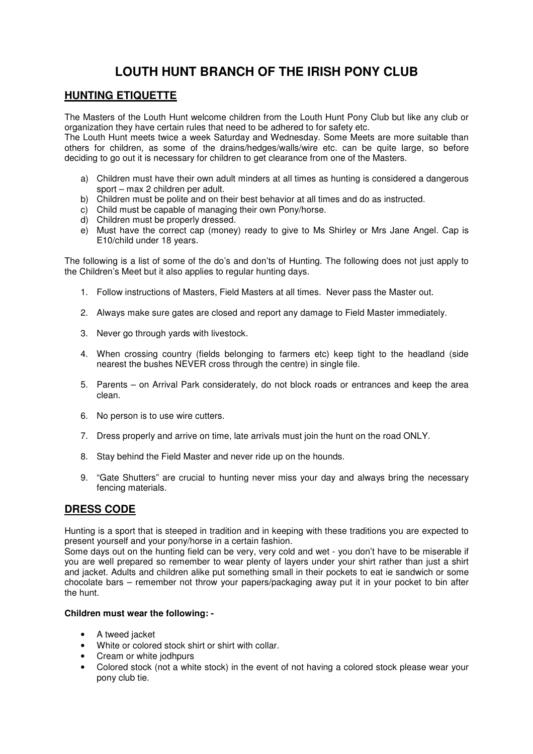# **LOUTH HUNT BRANCH OF THE IRISH PONY CLUB**

## **HUNTING ETIQUETTE**

The Masters of the Louth Hunt welcome children from the Louth Hunt Pony Club but like any club or organization they have certain rules that need to be adhered to for safety etc.

The Louth Hunt meets twice a week Saturday and Wednesday. Some Meets are more suitable than others for children, as some of the drains/hedges/walls/wire etc. can be quite large, so before deciding to go out it is necessary for children to get clearance from one of the Masters.

- a) Children must have their own adult minders at all times as hunting is considered a dangerous sport – max 2 children per adult.
- b) Children must be polite and on their best behavior at all times and do as instructed.
- c) Child must be capable of managing their own Pony/horse.
- d) Children must be properly dressed.
- e) Must have the correct cap (money) ready to give to Ms Shirley or Mrs Jane Angel. Cap is E10/child under 18 years.

The following is a list of some of the do's and don'ts of Hunting. The following does not just apply to the Children's Meet but it also applies to regular hunting days.

- 1. Follow instructions of Masters, Field Masters at all times. Never pass the Master out.
- 2. Always make sure gates are closed and report any damage to Field Master immediately.
- 3. Never go through yards with livestock.
- 4. When crossing country (fields belonging to farmers etc) keep tight to the headland (side nearest the bushes NEVER cross through the centre) in single file.
- 5. Parents on Arrival Park considerately, do not block roads or entrances and keep the area clean.
- 6. No person is to use wire cutters.
- 7. Dress properly and arrive on time, late arrivals must join the hunt on the road ONLY.
- 8. Stay behind the Field Master and never ride up on the hounds.
- 9. "Gate Shutters" are crucial to hunting never miss your day and always bring the necessary fencing materials.

# **DRESS CODE**

Hunting is a sport that is steeped in tradition and in keeping with these traditions you are expected to present yourself and your pony/horse in a certain fashion.

Some days out on the hunting field can be very, very cold and wet - you don't have to be miserable if you are well prepared so remember to wear plenty of layers under your shirt rather than just a shirt and jacket. Adults and children alike put something small in their pockets to eat ie sandwich or some chocolate bars – remember not throw your papers/packaging away put it in your pocket to bin after the hunt.

#### **Children must wear the following: -**

- A tweed jacket
- White or colored stock shirt or shirt with collar.
- Cream or white jodhpurs
- Colored stock (not a white stock) in the event of not having a colored stock please wear your pony club tie.